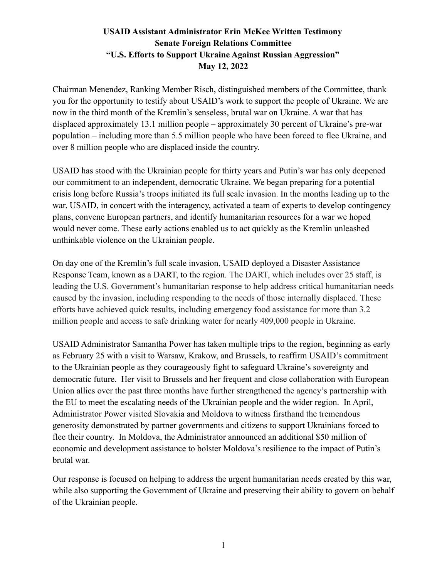Chairman Menendez, Ranking Member Risch, distinguished members of the Committee, thank you for the opportunity to testify about USAID's work to support the people of Ukraine. We are now in the third month of the Kremlin's senseless, brutal war on Ukraine. A war that has displaced approximately 13.1 million people – approximately 30 percent of Ukraine's pre-war population – including more than 5.5 million people who have been forced to flee Ukraine, and over 8 million people who are displaced inside the country.

USAID has stood with the Ukrainian people for thirty years and Putin's war has only deepened our commitment to an independent, democratic Ukraine. We began preparing for a potential crisis long before Russia's troops initiated its full scale invasion. In the months leading up to the war, USAID, in concert with the interagency, activated a team of experts to develop contingency plans, convene European partners, and identify humanitarian resources for a war we hoped would never come. These early actions enabled us to act quickly as the Kremlin unleashed unthinkable violence on the Ukrainian people.

On day one of the Kremlin's full scale invasion, USAID deployed a Disaster Assistance Response Team, known as a DART, to the region. The DART, which includes over 25 staff, is leading the U.S. Government's humanitarian response to help address critical humanitarian needs caused by the invasion, including responding to the needs of those internally displaced. These efforts have achieved quick results, including emergency food assistance for more than 3.2 million people and access to safe drinking water for nearly 409,000 people in Ukraine.

USAID Administrator Samantha Power has taken multiple trips to the region, beginning as early as February 25 with a visit to Warsaw, Krakow, and Brussels, to reaffirm USAID's commitment to the Ukrainian people as they courageously fight to safeguard Ukraine's sovereignty and democratic future. Her visit to Brussels and her frequent and close collaboration with European Union allies over the past three months have further strengthened the agency's partnership with the EU to meet the escalating needs of the Ukrainian people and the wider region. In April, Administrator Power visited Slovakia and Moldova to witness firsthand the tremendous generosity demonstrated by partner governments and citizens to support Ukrainians forced to flee their country. In Moldova, the Administrator announced an additional \$50 million of economic and development assistance to bolster Moldova's resilience to the impact of Putin's brutal war.

Our response is focused on helping to address the urgent humanitarian needs created by this war, while also supporting the Government of Ukraine and preserving their ability to govern on behalf of the Ukrainian people.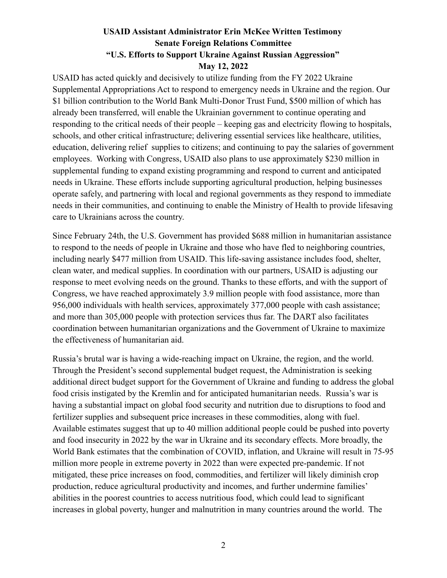USAID has acted quickly and decisively to utilize funding from the FY 2022 Ukraine Supplemental Appropriations Act to respond to emergency needs in Ukraine and the region. Our \$1 billion contribution to the World Bank Multi-Donor Trust Fund, \$500 million of which has already been transferred, will enable the Ukrainian government to continue operating and responding to the critical needs of their people – keeping gas and electricity flowing to hospitals, schools, and other critical infrastructure; delivering essential services like healthcare, utilities, education, delivering relief supplies to citizens; and continuing to pay the salaries of government employees. Working with Congress, USAID also plans to use approximately \$230 million in supplemental funding to expand existing programming and respond to current and anticipated needs in Ukraine. These efforts include supporting agricultural production, helping businesses operate safely, and partnering with local and regional governments as they respond to immediate needs in their communities, and continuing to enable the Ministry of Health to provide lifesaving care to Ukrainians across the country.

Since February 24th, the U.S. Government has provided \$688 million in humanitarian assistance to respond to the needs of people in Ukraine and those who have fled to neighboring countries, including nearly \$477 million from USAID. This life-saving assistance includes food, shelter, clean water, and medical supplies. In coordination with our partners, USAID is adjusting our response to meet evolving needs on the ground. Thanks to these efforts, and with the support of Congress, we have reached approximately 3.9 million people with food assistance, more than 956,000 individuals with health services, approximately 377,000 people with cash assistance; and more than 305,000 people with protection services thus far. The DART also facilitates coordination between humanitarian organizations and the Government of Ukraine to maximize the effectiveness of humanitarian aid.

Russia's brutal war is having a wide-reaching impact on Ukraine, the region, and the world. Through the President's second supplemental budget request, the Administration is seeking additional direct budget support for the Government of Ukraine and funding to address the global food crisis instigated by the Kremlin and for anticipated humanitarian needs. Russia's war is having a substantial impact on global food security and nutrition due to disruptions to food and fertilizer supplies and subsequent price increases in these commodities, along with fuel. Available estimates suggest that up to 40 million additional people could be pushed into poverty and food insecurity in 2022 by the war in Ukraine and its secondary effects. More broadly, the World Bank estimates that the combination of COVID, inflation, and Ukraine will result in 75-95 million more people in extreme poverty in 2022 than were expected pre-pandemic. If not mitigated, these price increases on food, commodities, and fertilizer will likely diminish crop production, reduce agricultural productivity and incomes, and further undermine families' abilities in the poorest countries to access nutritious food, which could lead to significant increases in global poverty, hunger and malnutrition in many countries around the world. The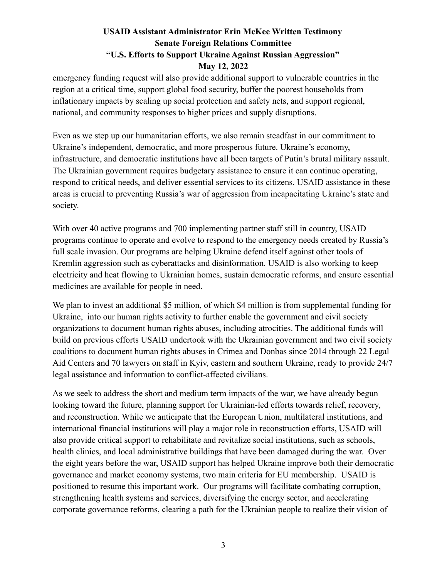emergency funding request will also provide additional support to vulnerable countries in the region at a critical time, support global food security, buffer the poorest households from inflationary impacts by scaling up social protection and safety nets, and support regional, national, and community responses to higher prices and supply disruptions.

Even as we step up our humanitarian efforts, we also remain steadfast in our commitment to Ukraine's independent, democratic, and more prosperous future. Ukraine's economy, infrastructure, and democratic institutions have all been targets of Putin's brutal military assault. The Ukrainian government requires budgetary assistance to ensure it can continue operating, respond to critical needs, and deliver essential services to its citizens. USAID assistance in these areas is crucial to preventing Russia's war of aggression from incapacitating Ukraine's state and society.

With over 40 active programs and 700 implementing partner staff still in country, USAID programs continue to operate and evolve to respond to the emergency needs created by Russia's full scale invasion. Our programs are helping Ukraine defend itself against other tools of Kremlin aggression such as cyberattacks and disinformation. USAID is also working to keep electricity and heat flowing to Ukrainian homes, sustain democratic reforms, and ensure essential medicines are available for people in need.

We plan to invest an additional \$5 million, of which \$4 million is from supplemental funding for Ukraine, into our human rights activity to further enable the government and civil society organizations to document human rights abuses, including atrocities. The additional funds will build on previous efforts USAID undertook with the Ukrainian government and two civil society coalitions to document human rights abuses in Crimea and Donbas since 2014 through 22 Legal Aid Centers and 70 lawyers on staff in Kyiv, eastern and southern Ukraine, ready to provide 24/7 legal assistance and information to conflict-affected civilians.

As we seek to address the short and medium term impacts of the war, we have already begun looking toward the future, planning support for Ukrainian-led efforts towards relief, recovery, and reconstruction. While we anticipate that the European Union, multilateral institutions, and international financial institutions will play a major role in reconstruction efforts, USAID will also provide critical support to rehabilitate and revitalize social institutions, such as schools, health clinics, and local administrative buildings that have been damaged during the war. Over the eight years before the war, USAID support has helped Ukraine improve both their democratic governance and market economy systems, two main criteria for EU membership. USAID is positioned to resume this important work. Our programs will facilitate combating corruption, strengthening health systems and services, diversifying the energy sector, and accelerating corporate governance reforms, clearing a path for the Ukrainian people to realize their vision of